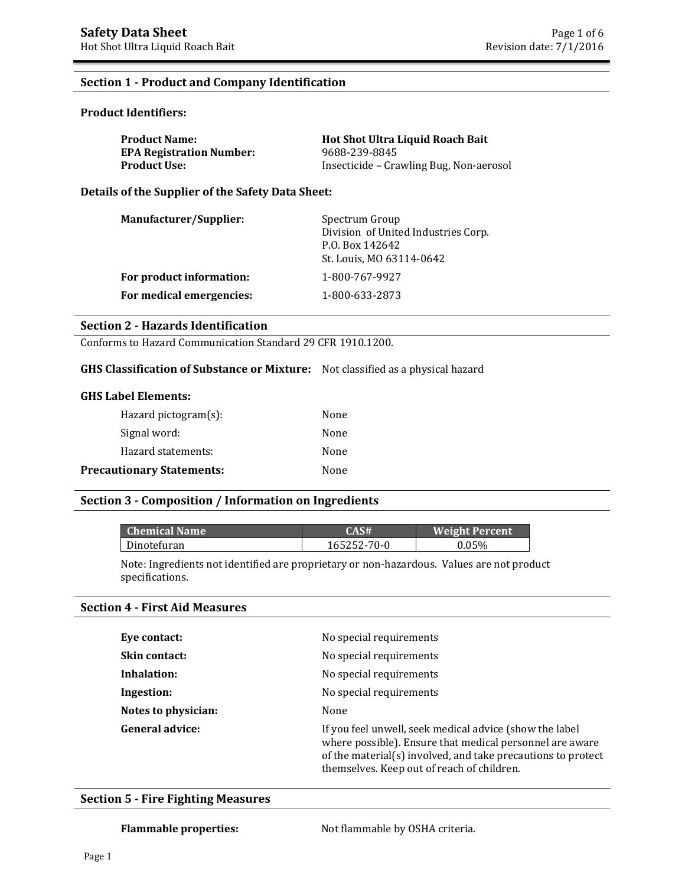#### **Section 1 - Product and Company Identification**

#### **Product Identifiers:**

| <b>Product Name:</b>            | <b>Hot Shot Ultra Liquid Roach Bait</b> |
|---------------------------------|-----------------------------------------|
| <b>EPA Registration Number:</b> | 9688-239-8845                           |
| Product Use: \                  | Insecticide – Crawling Bug, Non-aerosol |

**Details of the Supplier of the Safety Data Sheet:**

| Manufacturer/Supplier:   | Spectrum Group<br>Division of United Industries Corp.<br>P.O. Box 142642<br>St. Louis, MO 63114-0642 |
|--------------------------|------------------------------------------------------------------------------------------------------|
| For product information: | 1-800-767-9927                                                                                       |
| For medical emergencies: | 1-800-633-2873                                                                                       |

#### **Section 2 - Hazards Identification**

Conforms to Hazard Communication Standard 29 CFR 1910.1200.

#### **GHS Classification of Substance or Mixture:** Not classified as a physical hazard

#### **GHS Label Elements:**

| Hazard pictogram $(s)$ :         | None |
|----------------------------------|------|
| Signal word:                     | None |
| Hazard statements:               | None |
| <b>Precautionary Statements:</b> | None |

#### **Section 3 - Composition / Information on Ingredients**

| <b>Chemical Name</b> | CAS#'       | <b>Weight Percent</b> |
|----------------------|-------------|-----------------------|
| Dinotefuran          | 165252-70-0 | 0.05%                 |

Note: Ingredients not identified are proprietary or non-hazardous. Values are not product specifications.

#### **Section 4 - First Aid Measures**

| Eye contact:           | No special requirements                                                                                                                                                                                                           |
|------------------------|-----------------------------------------------------------------------------------------------------------------------------------------------------------------------------------------------------------------------------------|
| <b>Skin contact:</b>   | No special requirements                                                                                                                                                                                                           |
| Inhalation:            | No special requirements                                                                                                                                                                                                           |
| Ingestion:             | No special requirements                                                                                                                                                                                                           |
| Notes to physician:    | None                                                                                                                                                                                                                              |
| <b>General advice:</b> | If you feel unwell, seek medical advice (show the label<br>where possible). Ensure that medical personnel are aware<br>of the material(s) involved, and take precautions to protect<br>themselves. Keep out of reach of children. |

#### **Section 5 - Fire Fighting Measures**

Flammable properties: Not flammable by OSHA criteria.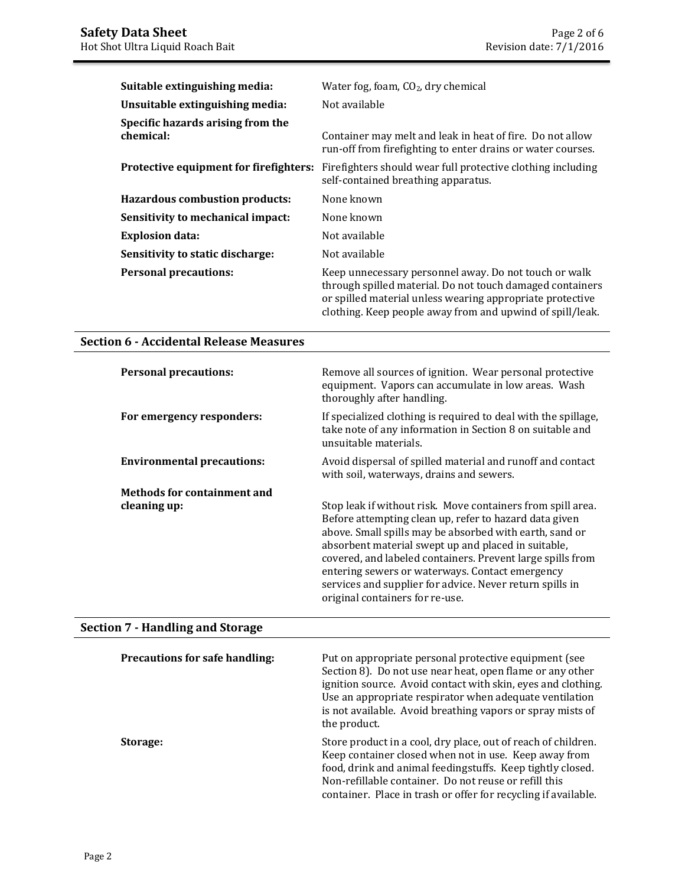| Suitable extinguishing media:                  | Water fog, foam, $CO2$ , dry chemical                                                                                                                                                                                                        |
|------------------------------------------------|----------------------------------------------------------------------------------------------------------------------------------------------------------------------------------------------------------------------------------------------|
| Unsuitable extinguishing media:                | Not available                                                                                                                                                                                                                                |
| Specific hazards arising from the<br>chemical: | Container may melt and leak in heat of fire. Do not allow<br>run-off from firefighting to enter drains or water courses.                                                                                                                     |
| Protective equipment for firefighters:         | Firefighters should wear full protective clothing including<br>self-contained breathing apparatus.                                                                                                                                           |
| <b>Hazardous combustion products:</b>          | None known                                                                                                                                                                                                                                   |
| Sensitivity to mechanical impact:              | None known                                                                                                                                                                                                                                   |
| <b>Explosion data:</b>                         | Not available                                                                                                                                                                                                                                |
| Sensitivity to static discharge:               | Not available                                                                                                                                                                                                                                |
| <b>Personal precautions:</b>                   | Keep unnecessary personnel away. Do not touch or walk<br>through spilled material. Do not touch damaged containers<br>or spilled material unless wearing appropriate protective<br>clothing. Keep people away from and upwind of spill/leak. |

## **Section 6 - Accidental Release Measures**

| <b>Personal precautions:</b>      | Remove all sources of ignition. Wear personal protective<br>equipment. Vapors can accumulate in low areas. Wash<br>thoroughly after handling.                                                                                                                                                                                                                                                                                                           |
|-----------------------------------|---------------------------------------------------------------------------------------------------------------------------------------------------------------------------------------------------------------------------------------------------------------------------------------------------------------------------------------------------------------------------------------------------------------------------------------------------------|
| For emergency responders:         | If specialized clothing is required to deal with the spillage,<br>take note of any information in Section 8 on suitable and<br>unsuitable materials.                                                                                                                                                                                                                                                                                                    |
| <b>Environmental precautions:</b> | Avoid dispersal of spilled material and runoff and contact<br>with soil, waterways, drains and sewers.                                                                                                                                                                                                                                                                                                                                                  |
| Methods for containment and       |                                                                                                                                                                                                                                                                                                                                                                                                                                                         |
| cleaning up:                      | Stop leak if without risk. Move containers from spill area.<br>Before attempting clean up, refer to hazard data given<br>above. Small spills may be absorbed with earth, sand or<br>absorbent material swept up and placed in suitable,<br>covered, and labeled containers. Prevent large spills from<br>entering sewers or waterways. Contact emergency<br>services and supplier for advice. Never return spills in<br>original containers for re-use. |

# **Section 7 - Handling and Storage**

| <b>Precautions for safe handling:</b> | Put on appropriate personal protective equipment (see<br>Section 8). Do not use near heat, open flame or any other<br>ignition source. Avoid contact with skin, eyes and clothing.<br>Use an appropriate respirator when adequate ventilation<br>is not available. Avoid breathing vapors or spray mists of<br>the product. |
|---------------------------------------|-----------------------------------------------------------------------------------------------------------------------------------------------------------------------------------------------------------------------------------------------------------------------------------------------------------------------------|
| Storage:                              | Store product in a cool, dry place, out of reach of children.<br>Keep container closed when not in use. Keep away from<br>food, drink and animal feedingstuffs. Keep tightly closed.<br>Non-refillable container. Do not reuse or refill this<br>container. Place in trash or offer for recycling if available.             |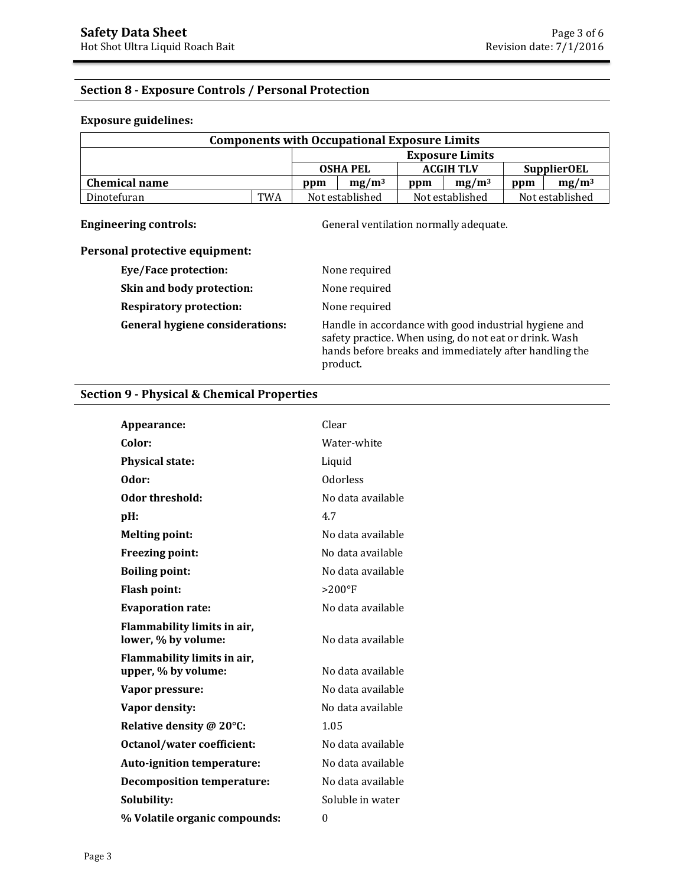## **Section 8 - Exposure Controls / Personal Protection**

#### **Exposure guidelines:**

| <b>Components with Occupational Exposure Limits</b> |            |                 |                 |                   |                        |                    |                 |
|-----------------------------------------------------|------------|-----------------|-----------------|-------------------|------------------------|--------------------|-----------------|
|                                                     |            |                 |                 |                   | <b>Exposure Limits</b> |                    |                 |
|                                                     |            | <b>OSHA PEL</b> |                 | <b>ACGIH TLV</b>  |                        | <b>SupplierOEL</b> |                 |
| <b>Chemical name</b><br>ppm                         |            | $mg/m^3$        | ppm             | mg/m <sup>3</sup> | ppm                    | $mg/m^3$           |                 |
| Dinotefuran                                         | <b>TWA</b> |                 | Not established |                   | Not established        |                    | Not established |

**Engineering controls:** General ventilation normally adequate.

## **Personal protective equipment:**

| Eye/Face protection:                   | None required                                                                                                                                                                         |
|----------------------------------------|---------------------------------------------------------------------------------------------------------------------------------------------------------------------------------------|
| Skin and body protection:              | None required                                                                                                                                                                         |
| <b>Respiratory protection:</b>         | None required                                                                                                                                                                         |
| <b>General hygiene considerations:</b> | Handle in accordance with good industrial hygiene and<br>safety practice. When using, do not eat or drink. Wash<br>hands before breaks and immediately after handling the<br>product. |

### **Section 9 - Physical & Chemical Properties**

| Appearance:                                        | Clear             |
|----------------------------------------------------|-------------------|
| Color:                                             | Water-white       |
| <b>Physical state:</b>                             | Liquid            |
| Odor:                                              | <b>Odorless</b>   |
| Odor threshold:                                    | No data available |
| pH:                                                | 4.7               |
| <b>Melting point:</b>                              | No data available |
| Freezing point:                                    | No data available |
| <b>Boiling point:</b>                              | No data available |
| <b>Flash point:</b>                                | $>200^\circ F$    |
| <b>Evaporation rate:</b>                           | No data available |
| Flammability limits in air,<br>lower, % by volume: | No data available |
| Flammability limits in air,<br>upper, % by volume: | No data available |
| Vapor pressure:                                    | No data available |
| Vapor density:                                     | No data available |
| Relative density @ 20°C:                           | 1.05              |
| <b>Octanol/water coefficient:</b>                  | No data available |
| Auto-ignition temperature:                         | No data available |
| <b>Decomposition temperature:</b>                  | No data available |
| Solubility:                                        | Soluble in water  |
| % Volatile organic compounds:                      | $\theta$          |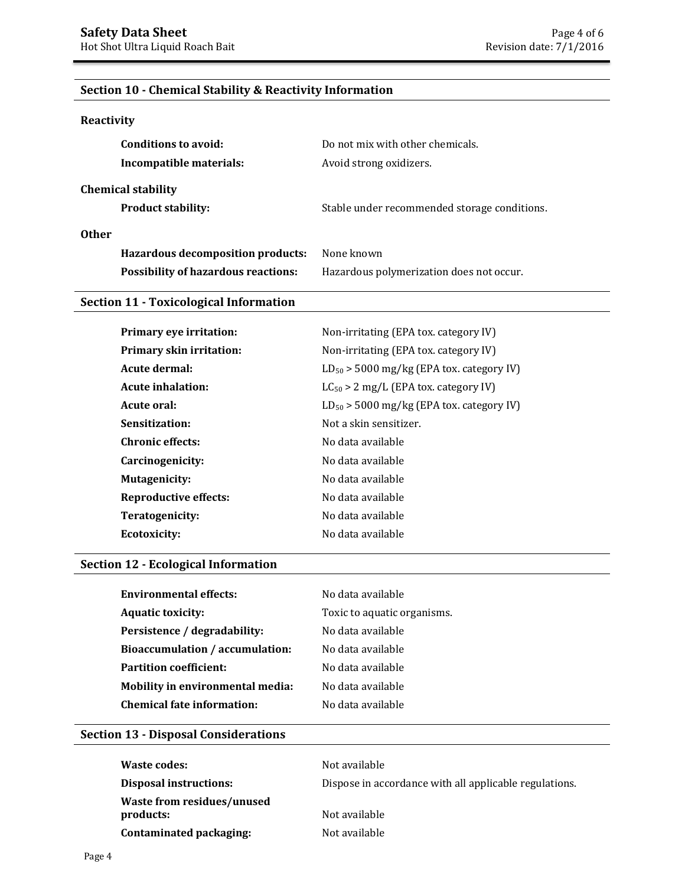## **Section 10 - Chemical Stability & Reactivity Information**

#### **Reactivity**

| Conditions to avoid:                       | Do not mix with other chemicals.             |
|--------------------------------------------|----------------------------------------------|
| Incompatible materials:                    | Avoid strong oxidizers.                      |
| <b>Chemical stability</b>                  |                                              |
| <b>Product stability:</b>                  | Stable under recommended storage conditions. |
| <b>Other</b>                               |                                              |
| Hazardous decomposition products:          | None known                                   |
| <b>Possibility of hazardous reactions:</b> | Hazardous polymerization does not occur.     |

### **Section 11 - Toxicological Information**

| Primary eye irritation:         | Non-irritating (EPA tox. category IV)         |
|---------------------------------|-----------------------------------------------|
| <b>Primary skin irritation:</b> | Non-irritating (EPA tox. category IV)         |
| Acute dermal:                   | $LD_{50}$ > 5000 mg/kg (EPA tox. category IV) |
| <b>Acute inhalation:</b>        | $LC_{50} > 2$ mg/L (EPA tox. category IV)     |
| Acute oral:                     | $LD_{50}$ > 5000 mg/kg (EPA tox. category IV) |
| Sensitization:                  | Not a skin sensitizer.                        |
| <b>Chronic effects:</b>         | No data available                             |
| Carcinogenicity:                | No data available                             |
| Mutagenicity:                   | No data available                             |
| <b>Reproductive effects:</b>    | No data available                             |
| Teratogenicity:                 | No data available                             |
| <b>Ecotoxicity:</b>             | No data available                             |

## **Section 12 - Ecological Information**

| Environmental effects:                 | No data available           |
|----------------------------------------|-----------------------------|
| <b>Aquatic toxicity:</b>               | Toxic to aquatic organisms. |
| Persistence / degradability:           | No data available           |
| <b>Bioaccumulation / accumulation:</b> | No data available           |
| <b>Partition coefficient:</b>          | No data available           |
| Mobility in environmental media:       | No data available           |
| <b>Chemical fate information:</b>      | No data available           |
|                                        |                             |

## **Section 13 - Disposal Considerations**

| <b>Waste codes:</b>                            | Not available                                          |
|------------------------------------------------|--------------------------------------------------------|
| <b>Disposal instructions:</b>                  | Dispose in accordance with all applicable regulations. |
| <b>Waste from residues/unused</b><br>products: | Not available                                          |
| Contaminated packaging:                        | Not available                                          |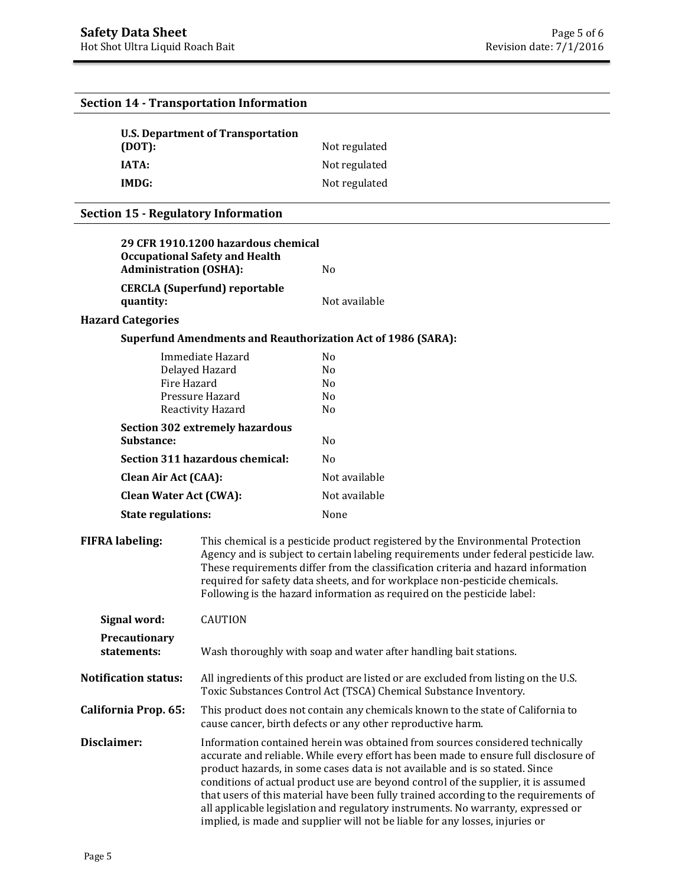|                                            | <b>Section 14 - Transportation Information</b>                                                                                                                                                                                                                                                                                                                                                                                                                                                                                                                                                          |                                                                                                                                                                                                                                                                                                                                                                                                                       |  |
|--------------------------------------------|---------------------------------------------------------------------------------------------------------------------------------------------------------------------------------------------------------------------------------------------------------------------------------------------------------------------------------------------------------------------------------------------------------------------------------------------------------------------------------------------------------------------------------------------------------------------------------------------------------|-----------------------------------------------------------------------------------------------------------------------------------------------------------------------------------------------------------------------------------------------------------------------------------------------------------------------------------------------------------------------------------------------------------------------|--|
| <b>U.S. Department of Transportation</b>   |                                                                                                                                                                                                                                                                                                                                                                                                                                                                                                                                                                                                         |                                                                                                                                                                                                                                                                                                                                                                                                                       |  |
| (DOT):                                     |                                                                                                                                                                                                                                                                                                                                                                                                                                                                                                                                                                                                         | Not regulated                                                                                                                                                                                                                                                                                                                                                                                                         |  |
| <b>IATA:</b>                               |                                                                                                                                                                                                                                                                                                                                                                                                                                                                                                                                                                                                         | Not regulated                                                                                                                                                                                                                                                                                                                                                                                                         |  |
| IMDG:                                      |                                                                                                                                                                                                                                                                                                                                                                                                                                                                                                                                                                                                         | Not regulated                                                                                                                                                                                                                                                                                                                                                                                                         |  |
| <b>Section 15 - Regulatory Information</b> |                                                                                                                                                                                                                                                                                                                                                                                                                                                                                                                                                                                                         |                                                                                                                                                                                                                                                                                                                                                                                                                       |  |
|                                            | 29 CFR 1910.1200 hazardous chemical                                                                                                                                                                                                                                                                                                                                                                                                                                                                                                                                                                     |                                                                                                                                                                                                                                                                                                                                                                                                                       |  |
|                                            | <b>Occupational Safety and Health</b>                                                                                                                                                                                                                                                                                                                                                                                                                                                                                                                                                                   |                                                                                                                                                                                                                                                                                                                                                                                                                       |  |
|                                            | <b>Administration (OSHA):</b>                                                                                                                                                                                                                                                                                                                                                                                                                                                                                                                                                                           | N <sub>0</sub>                                                                                                                                                                                                                                                                                                                                                                                                        |  |
|                                            | <b>CERCLA (Superfund) reportable</b>                                                                                                                                                                                                                                                                                                                                                                                                                                                                                                                                                                    |                                                                                                                                                                                                                                                                                                                                                                                                                       |  |
| quantity:                                  |                                                                                                                                                                                                                                                                                                                                                                                                                                                                                                                                                                                                         | Not available                                                                                                                                                                                                                                                                                                                                                                                                         |  |
| <b>Hazard Categories</b>                   |                                                                                                                                                                                                                                                                                                                                                                                                                                                                                                                                                                                                         |                                                                                                                                                                                                                                                                                                                                                                                                                       |  |
|                                            | Immediate Hazard                                                                                                                                                                                                                                                                                                                                                                                                                                                                                                                                                                                        | <b>Superfund Amendments and Reauthorization Act of 1986 (SARA):</b><br>N <sub>0</sub>                                                                                                                                                                                                                                                                                                                                 |  |
|                                            | Delayed Hazard                                                                                                                                                                                                                                                                                                                                                                                                                                                                                                                                                                                          | N <sub>0</sub>                                                                                                                                                                                                                                                                                                                                                                                                        |  |
|                                            | Fire Hazard                                                                                                                                                                                                                                                                                                                                                                                                                                                                                                                                                                                             | N <sub>0</sub>                                                                                                                                                                                                                                                                                                                                                                                                        |  |
|                                            | Pressure Hazard<br>Reactivity Hazard                                                                                                                                                                                                                                                                                                                                                                                                                                                                                                                                                                    | No<br>N <sub>0</sub>                                                                                                                                                                                                                                                                                                                                                                                                  |  |
|                                            | <b>Section 302 extremely hazardous</b>                                                                                                                                                                                                                                                                                                                                                                                                                                                                                                                                                                  |                                                                                                                                                                                                                                                                                                                                                                                                                       |  |
| Substance:                                 |                                                                                                                                                                                                                                                                                                                                                                                                                                                                                                                                                                                                         | N <sub>0</sub>                                                                                                                                                                                                                                                                                                                                                                                                        |  |
|                                            | Section 311 hazardous chemical:                                                                                                                                                                                                                                                                                                                                                                                                                                                                                                                                                                         | N <sub>0</sub>                                                                                                                                                                                                                                                                                                                                                                                                        |  |
| <b>Clean Air Act (CAA):</b>                |                                                                                                                                                                                                                                                                                                                                                                                                                                                                                                                                                                                                         | Not available                                                                                                                                                                                                                                                                                                                                                                                                         |  |
|                                            | <b>Clean Water Act (CWA):</b>                                                                                                                                                                                                                                                                                                                                                                                                                                                                                                                                                                           | Not available                                                                                                                                                                                                                                                                                                                                                                                                         |  |
| <b>State regulations:</b>                  |                                                                                                                                                                                                                                                                                                                                                                                                                                                                                                                                                                                                         | None                                                                                                                                                                                                                                                                                                                                                                                                                  |  |
| <b>FIFRA labeling:</b>                     |                                                                                                                                                                                                                                                                                                                                                                                                                                                                                                                                                                                                         | This chemical is a pesticide product registered by the Environmental Protection<br>Agency and is subject to certain labeling requirements under federal pesticide law.<br>These requirements differ from the classification criteria and hazard information<br>required for safety data sheets, and for workplace non-pesticide chemicals.<br>Following is the hazard information as required on the pesticide label: |  |
| Signal word:                               | <b>CAUTION</b>                                                                                                                                                                                                                                                                                                                                                                                                                                                                                                                                                                                          |                                                                                                                                                                                                                                                                                                                                                                                                                       |  |
| Precautionary<br>statements:               |                                                                                                                                                                                                                                                                                                                                                                                                                                                                                                                                                                                                         | Wash thoroughly with soap and water after handling bait stations.                                                                                                                                                                                                                                                                                                                                                     |  |
| <b>Notification status:</b>                |                                                                                                                                                                                                                                                                                                                                                                                                                                                                                                                                                                                                         | All ingredients of this product are listed or are excluded from listing on the U.S.<br>Toxic Substances Control Act (TSCA) Chemical Substance Inventory.                                                                                                                                                                                                                                                              |  |
| California Prop. 65:                       |                                                                                                                                                                                                                                                                                                                                                                                                                                                                                                                                                                                                         | This product does not contain any chemicals known to the state of California to<br>cause cancer, birth defects or any other reproductive harm.                                                                                                                                                                                                                                                                        |  |
| Disclaimer:                                | Information contained herein was obtained from sources considered technically<br>accurate and reliable. While every effort has been made to ensure full disclosure of<br>product hazards, in some cases data is not available and is so stated. Since<br>conditions of actual product use are beyond control of the supplier, it is assumed<br>that users of this material have been fully trained according to the requirements of<br>all applicable legislation and regulatory instruments. No warranty, expressed or<br>implied, is made and supplier will not be liable for any losses, injuries or |                                                                                                                                                                                                                                                                                                                                                                                                                       |  |